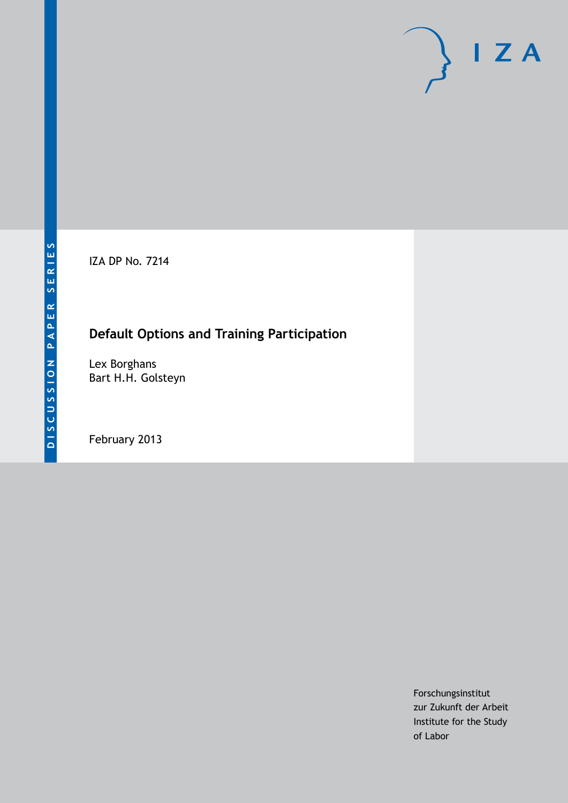IZA DP No. 7214

# **Default Options and Training Participation**

Lex Borghans Bart H.H. Golsteyn

February 2013

Forschungsinstitut zur Zukunft der Arbeit Institute for the Study of Labor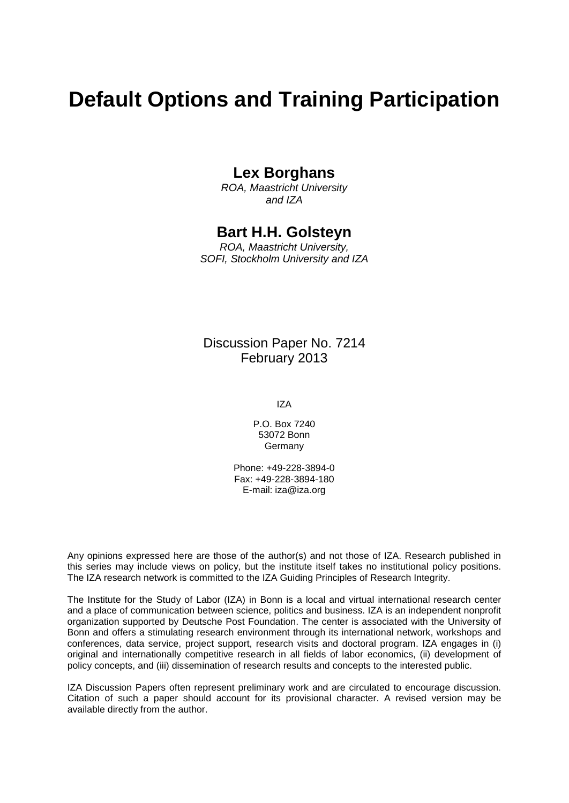# **Default Options and Training Participation**

## **Lex Borghans**

*ROA, Maastricht University and IZA*

### **Bart H.H. Golsteyn**

*ROA, Maastricht University, SOFI, Stockholm University and IZA*

## Discussion Paper No. 7214 February 2013

IZA

P.O. Box 7240 53072 Bonn Germany

Phone: +49-228-3894-0 Fax: +49-228-3894-180 E-mail: [iza@iza.org](mailto:iza@iza.org)

Any opinions expressed here are those of the author(s) and not those of IZA. Research published in this series may include views on policy, but the institute itself takes no institutional policy positions. The IZA research network is committed to the IZA Guiding Principles of Research Integrity.

The Institute for the Study of Labor (IZA) in Bonn is a local and virtual international research center and a place of communication between science, politics and business. IZA is an independent nonprofit organization supported by Deutsche Post Foundation. The center is associated with the University of Bonn and offers a stimulating research environment through its international network, workshops and conferences, data service, project support, research visits and doctoral program. IZA engages in (i) original and internationally competitive research in all fields of labor economics, (ii) development of policy concepts, and (iii) dissemination of research results and concepts to the interested public.

<span id="page-1-0"></span>IZA Discussion Papers often represent preliminary work and are circulated to encourage discussion. Citation of such a paper should account for its provisional character. A revised version may be available directly from the author.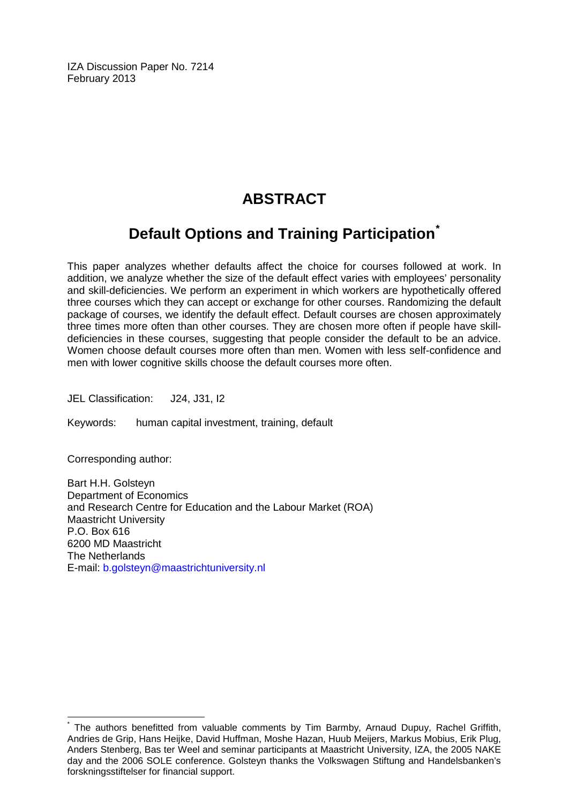IZA Discussion Paper No. 7214 February 2013

# **ABSTRACT**

# **Default Options and Training Participation[\\*](#page-1-0)**

This paper analyzes whether defaults affect the choice for courses followed at work. In addition, we analyze whether the size of the default effect varies with employees' personality and skill-deficiencies. We perform an experiment in which workers are hypothetically offered three courses which they can accept or exchange for other courses. Randomizing the default package of courses, we identify the default effect. Default courses are chosen approximately three times more often than other courses. They are chosen more often if people have skilldeficiencies in these courses, suggesting that people consider the default to be an advice. Women choose default courses more often than men. Women with less self-confidence and men with lower cognitive skills choose the default courses more often.

JEL Classification: J24, J31, I2

Keywords: human capital investment, training, default

Corresponding author:

Bart H.H. Golsteyn Department of Economics and Research Centre for Education and the Labour Market (ROA) Maastricht University P.O. Box 616 6200 MD Maastricht The Netherlands E-mail: [b.golsteyn@maastrichtuniversity.nl](mailto:b.golsteyn@maastrichtuniversity.nl)

The authors benefitted from valuable comments by Tim Barmby, Arnaud Dupuy, Rachel Griffith, Andries de Grip, Hans Heijke, David Huffman, Moshe Hazan, Huub Meijers, Markus Mobius, Erik Plug, Anders Stenberg, Bas ter Weel and seminar participants at Maastricht University, IZA, the 2005 NAKE day and the 2006 SOLE conference. Golsteyn thanks the Volkswagen Stiftung and Handelsbanken's forskningsstiftelser for financial support.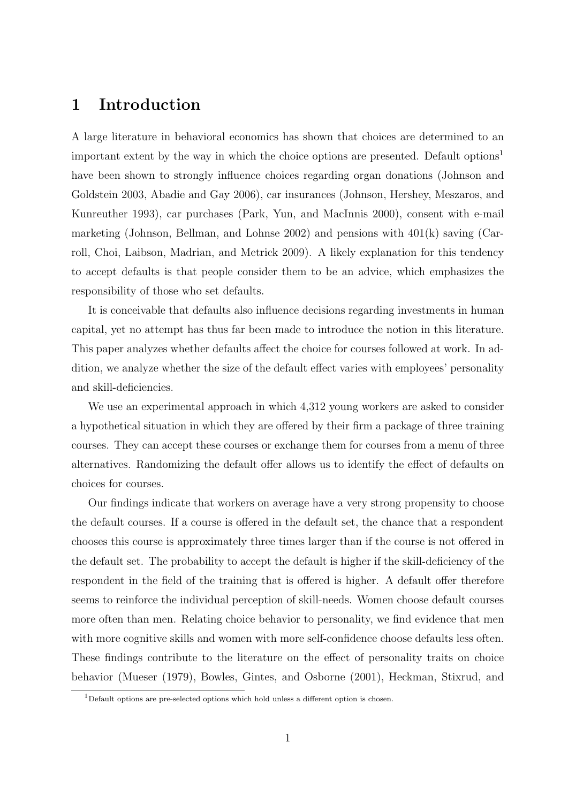# 1 Introduction

A large literature in behavioral economics has shown that choices are determined to an important extent by the way in which the choice options are presented. Default options<sup>1</sup> have been shown to strongly influence choices regarding organ donations (Johnson and Goldstein 2003, Abadie and Gay 2006), car insurances (Johnson, Hershey, Meszaros, and Kunreuther 1993), car purchases (Park, Yun, and MacInnis 2000), consent with e-mail marketing (Johnson, Bellman, and Lohnse 2002) and pensions with  $401(k)$  saving (Carroll, Choi, Laibson, Madrian, and Metrick 2009). A likely explanation for this tendency to accept defaults is that people consider them to be an advice, which emphasizes the responsibility of those who set defaults.

It is conceivable that defaults also influence decisions regarding investments in human capital, yet no attempt has thus far been made to introduce the notion in this literature. This paper analyzes whether defaults affect the choice for courses followed at work. In addition, we analyze whether the size of the default effect varies with employees' personality and skill-deficiencies.

We use an experimental approach in which 4,312 young workers are asked to consider a hypothetical situation in which they are offered by their firm a package of three training courses. They can accept these courses or exchange them for courses from a menu of three alternatives. Randomizing the default offer allows us to identify the effect of defaults on choices for courses.

Our findings indicate that workers on average have a very strong propensity to choose the default courses. If a course is offered in the default set, the chance that a respondent chooses this course is approximately three times larger than if the course is not offered in the default set. The probability to accept the default is higher if the skill-deficiency of the respondent in the field of the training that is offered is higher. A default offer therefore seems to reinforce the individual perception of skill-needs. Women choose default courses more often than men. Relating choice behavior to personality, we find evidence that men with more cognitive skills and women with more self-confidence choose defaults less often. These findings contribute to the literature on the effect of personality traits on choice behavior (Mueser (1979), Bowles, Gintes, and Osborne (2001), Heckman, Stixrud, and

<sup>&</sup>lt;sup>1</sup>Default options are pre-selected options which hold unless a different option is chosen.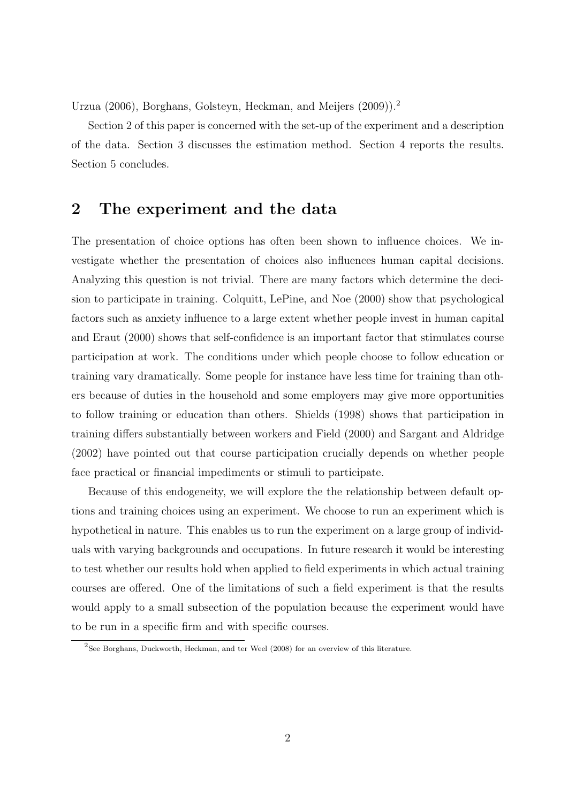Urzua (2006), Borghans, Golsteyn, Heckman, and Meijers (2009)).<sup>2</sup>

Section 2 of this paper is concerned with the set-up of the experiment and a description of the data. Section 3 discusses the estimation method. Section 4 reports the results. Section 5 concludes.

# 2 The experiment and the data

The presentation of choice options has often been shown to influence choices. We investigate whether the presentation of choices also influences human capital decisions. Analyzing this question is not trivial. There are many factors which determine the decision to participate in training. Colquitt, LePine, and Noe (2000) show that psychological factors such as anxiety influence to a large extent whether people invest in human capital and Eraut (2000) shows that self-confidence is an important factor that stimulates course participation at work. The conditions under which people choose to follow education or training vary dramatically. Some people for instance have less time for training than others because of duties in the household and some employers may give more opportunities to follow training or education than others. Shields (1998) shows that participation in training differs substantially between workers and Field (2000) and Sargant and Aldridge (2002) have pointed out that course participation crucially depends on whether people face practical or financial impediments or stimuli to participate.

Because of this endogeneity, we will explore the the relationship between default options and training choices using an experiment. We choose to run an experiment which is hypothetical in nature. This enables us to run the experiment on a large group of individuals with varying backgrounds and occupations. In future research it would be interesting to test whether our results hold when applied to field experiments in which actual training courses are offered. One of the limitations of such a field experiment is that the results would apply to a small subsection of the population because the experiment would have to be run in a specific firm and with specific courses.

 $2$ See Borghans, Duckworth, Heckman, and ter Weel (2008) for an overview of this literature.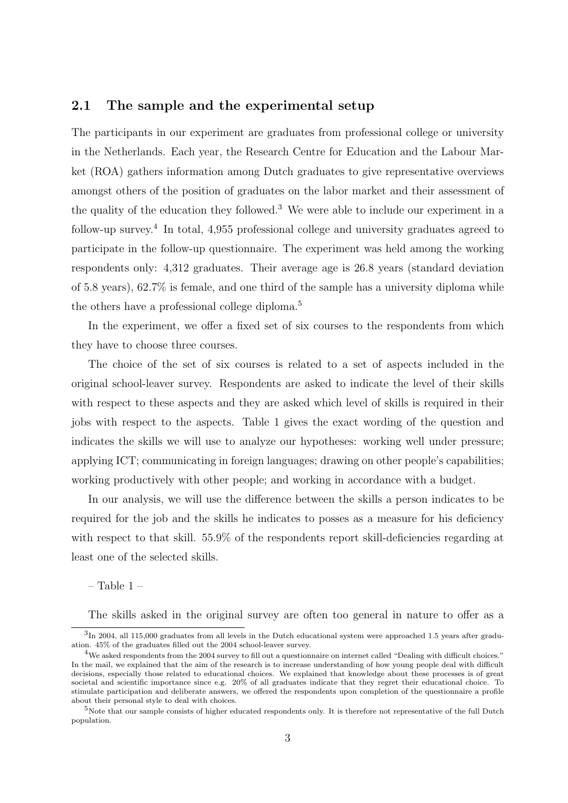#### 2.1 The sample and the experimental setup

The participants in our experiment are graduates from professional college or university in the Netherlands. Each year, the Research Centre for Education and the Labour Market (ROA) gathers information among Dutch graduates to give representative overviews amongst others of the position of graduates on the labor market and their assessment of the quality of the education they followed.<sup>3</sup> We were able to include our experiment in a follow-up survey.<sup>4</sup> In total, 4,955 professional college and university graduates agreed to participate in the follow-up questionnaire. The experiment was held among the working respondents only: 4,312 graduates. Their average age is 26.8 years (standard deviation of 5.8 years), 62.7% is female, and one third of the sample has a university diploma while the others have a professional college diploma.<sup>5</sup>

In the experiment, we offer a fixed set of six courses to the respondents from which they have to choose three courses.

The choice of the set of six courses is related to a set of aspects included in the original school-leaver survey. Respondents are asked to indicate the level of their skills with respect to these aspects and they are asked which level of skills is required in their jobs with respect to the aspects. Table 1 gives the exact wording of the question and indicates the skills we will use to analyze our hypotheses: working well under pressure; applying ICT; communicating in foreign languages; drawing on other people's capabilities; working productively with other people; and working in accordance with a budget.

In our analysis, we will use the difference between the skills a person indicates to be required for the job and the skills he indicates to posses as a measure for his deficiency with respect to that skill. 55.9% of the respondents report skill-deficiencies regarding at least one of the selected skills.

– Table 1 –

The skills asked in the original survey are often too general in nature to offer as a

 ${}^{3}$ In 2004, all 115,000 graduates from all levels in the Dutch educational system were approached 1.5 years after graduation. 45% of the graduates filled out the 2004 school-leaver survey.

 $4$ We asked respondents from the 2004 survey to fill out a questionnaire on internet called "Dealing with difficult choices." In the mail, we explained that the aim of the research is to increase understanding of how young people deal with difficult decisions, especially those related to educational choices. We explained that knowledge about these processes is of great societal and scientific importance since e.g. 20% of all graduates indicate that they regret their educational choice. To stimulate participation and deliberate answers, we offered the respondents upon completion of the questionnaire a profile about their personal style to deal with choices.

 $5$ Note that our sample consists of higher educated respondents only. It is therefore not representative of the full Dutch population.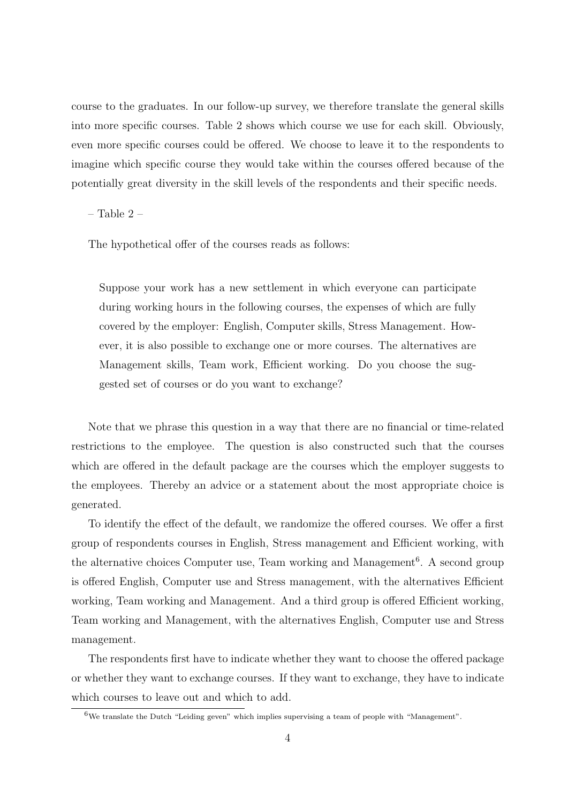course to the graduates. In our follow-up survey, we therefore translate the general skills into more specific courses. Table 2 shows which course we use for each skill. Obviously, even more specific courses could be offered. We choose to leave it to the respondents to imagine which specific course they would take within the courses offered because of the potentially great diversity in the skill levels of the respondents and their specific needs.

– Table 2 –

The hypothetical offer of the courses reads as follows:

Suppose your work has a new settlement in which everyone can participate during working hours in the following courses, the expenses of which are fully covered by the employer: English, Computer skills, Stress Management. However, it is also possible to exchange one or more courses. The alternatives are Management skills, Team work, Efficient working. Do you choose the suggested set of courses or do you want to exchange?

Note that we phrase this question in a way that there are no financial or time-related restrictions to the employee. The question is also constructed such that the courses which are offered in the default package are the courses which the employer suggests to the employees. Thereby an advice or a statement about the most appropriate choice is generated.

To identify the effect of the default, we randomize the offered courses. We offer a first group of respondents courses in English, Stress management and Efficient working, with the alternative choices Computer use, Team working and Management<sup>6</sup>. A second group is offered English, Computer use and Stress management, with the alternatives Efficient working, Team working and Management. And a third group is offered Efficient working, Team working and Management, with the alternatives English, Computer use and Stress management.

The respondents first have to indicate whether they want to choose the offered package or whether they want to exchange courses. If they want to exchange, they have to indicate which courses to leave out and which to add.

 $6$ We translate the Dutch "Leiding geven" which implies supervising a team of people with "Management".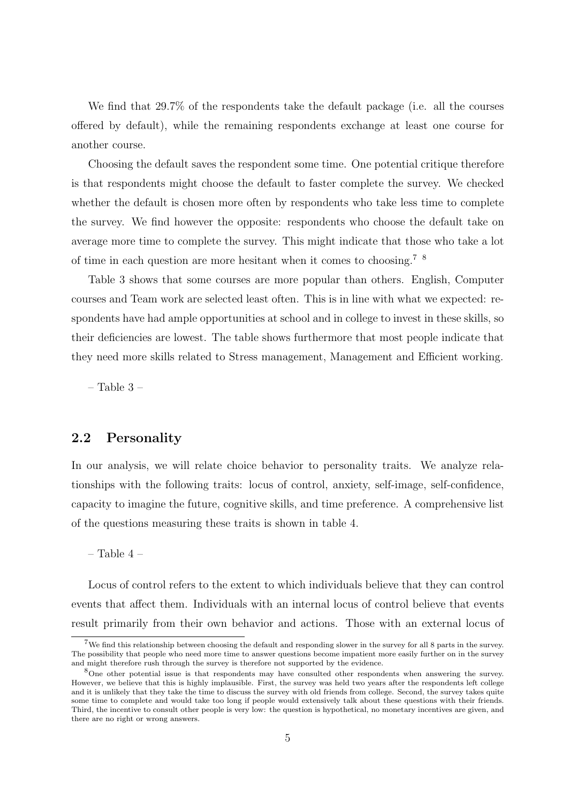We find that 29.7% of the respondents take the default package (i.e. all the courses offered by default), while the remaining respondents exchange at least one course for another course.

Choosing the default saves the respondent some time. One potential critique therefore is that respondents might choose the default to faster complete the survey. We checked whether the default is chosen more often by respondents who take less time to complete the survey. We find however the opposite: respondents who choose the default take on average more time to complete the survey. This might indicate that those who take a lot of time in each question are more hesitant when it comes to choosing.7 8

Table 3 shows that some courses are more popular than others. English, Computer courses and Team work are selected least often. This is in line with what we expected: respondents have had ample opportunities at school and in college to invest in these skills, so their deficiencies are lowest. The table shows furthermore that most people indicate that they need more skills related to Stress management, Management and Efficient working.

– Table  $3$  –

#### 2.2 Personality

In our analysis, we will relate choice behavior to personality traits. We analyze relationships with the following traits: locus of control, anxiety, self-image, self-confidence, capacity to imagine the future, cognitive skills, and time preference. A comprehensive list of the questions measuring these traits is shown in table 4.

– Table 4 –

Locus of control refers to the extent to which individuals believe that they can control events that affect them. Individuals with an internal locus of control believe that events result primarily from their own behavior and actions. Those with an external locus of

<sup>&</sup>lt;sup>7</sup>We find this relationship between choosing the default and responding slower in the survey for all 8 parts in the survey. The possibility that people who need more time to answer questions become impatient more easily further on in the survey and might therefore rush through the survey is therefore not supported by the evidence.

<sup>8</sup>One other potential issue is that respondents may have consulted other respondents when answering the survey. However, we believe that this is highly implausible. First, the survey was held two years after the respondents left college and it is unlikely that they take the time to discuss the survey with old friends from college. Second, the survey takes quite some time to complete and would take too long if people would extensively talk about these questions with their friends. Third, the incentive to consult other people is very low: the question is hypothetical, no monetary incentives are given, and there are no right or wrong answers.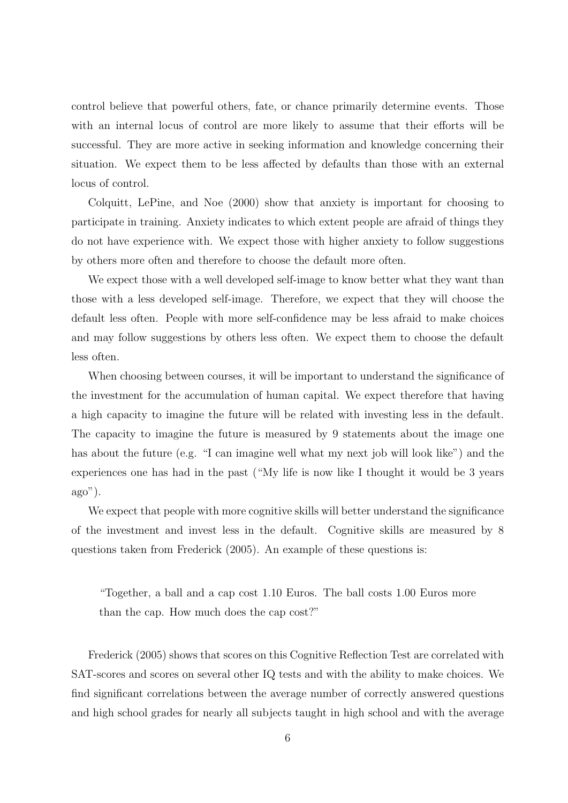control believe that powerful others, fate, or chance primarily determine events. Those with an internal locus of control are more likely to assume that their efforts will be successful. They are more active in seeking information and knowledge concerning their situation. We expect them to be less affected by defaults than those with an external locus of control.

Colquitt, LePine, and Noe (2000) show that anxiety is important for choosing to participate in training. Anxiety indicates to which extent people are afraid of things they do not have experience with. We expect those with higher anxiety to follow suggestions by others more often and therefore to choose the default more often.

We expect those with a well developed self-image to know better what they want than those with a less developed self-image. Therefore, we expect that they will choose the default less often. People with more self-confidence may be less afraid to make choices and may follow suggestions by others less often. We expect them to choose the default less often.

When choosing between courses, it will be important to understand the significance of the investment for the accumulation of human capital. We expect therefore that having a high capacity to imagine the future will be related with investing less in the default. The capacity to imagine the future is measured by 9 statements about the image one has about the future (e.g. "I can imagine well what my next job will look like") and the experiences one has had in the past ("My life is now like I thought it would be 3 years ago").

We expect that people with more cognitive skills will better understand the significance of the investment and invest less in the default. Cognitive skills are measured by 8 questions taken from Frederick (2005). An example of these questions is:

"Together, a ball and a cap cost 1.10 Euros. The ball costs 1.00 Euros more than the cap. How much does the cap cost?"

Frederick (2005) shows that scores on this Cognitive Reflection Test are correlated with SAT-scores and scores on several other IQ tests and with the ability to make choices. We find significant correlations between the average number of correctly answered questions and high school grades for nearly all subjects taught in high school and with the average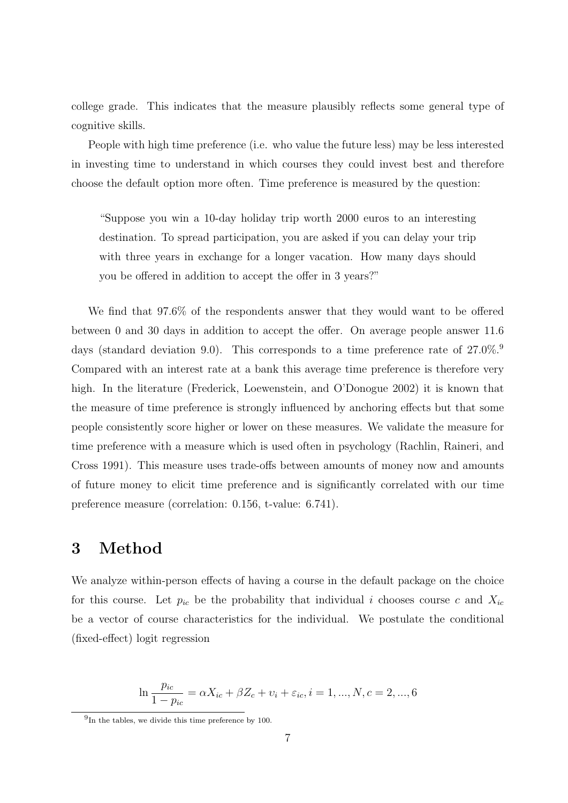college grade. This indicates that the measure plausibly reflects some general type of cognitive skills.

People with high time preference (i.e. who value the future less) may be less interested in investing time to understand in which courses they could invest best and therefore choose the default option more often. Time preference is measured by the question:

"Suppose you win a 10-day holiday trip worth 2000 euros to an interesting destination. To spread participation, you are asked if you can delay your trip with three years in exchange for a longer vacation. How many days should you be offered in addition to accept the offer in 3 years?"

We find that 97.6% of the respondents answer that they would want to be offered between 0 and 30 days in addition to accept the offer. On average people answer 11.6 days (standard deviation 9.0). This corresponds to a time preference rate of  $27.0\%$ . Compared with an interest rate at a bank this average time preference is therefore very high. In the literature (Frederick, Loewenstein, and O'Donogue 2002) it is known that the measure of time preference is strongly influenced by anchoring effects but that some people consistently score higher or lower on these measures. We validate the measure for time preference with a measure which is used often in psychology (Rachlin, Raineri, and Cross 1991). This measure uses trade-offs between amounts of money now and amounts of future money to elicit time preference and is significantly correlated with our time preference measure (correlation: 0.156, t-value: 6.741).

# 3 Method

We analyze within-person effects of having a course in the default package on the choice for this course. Let  $p_{ic}$  be the probability that individual i chooses course c and  $X_{ic}$ be a vector of course characteristics for the individual. We postulate the conditional (fixed-effect) logit regression

$$
\ln \frac{p_{ic}}{1 - p_{ic}} = \alpha X_{ic} + \beta Z_c + v_i + \varepsilon_{ic}, i = 1, ..., N, c = 2, ..., 6
$$

 $^{9}$ In the tables, we divide this time preference by 100.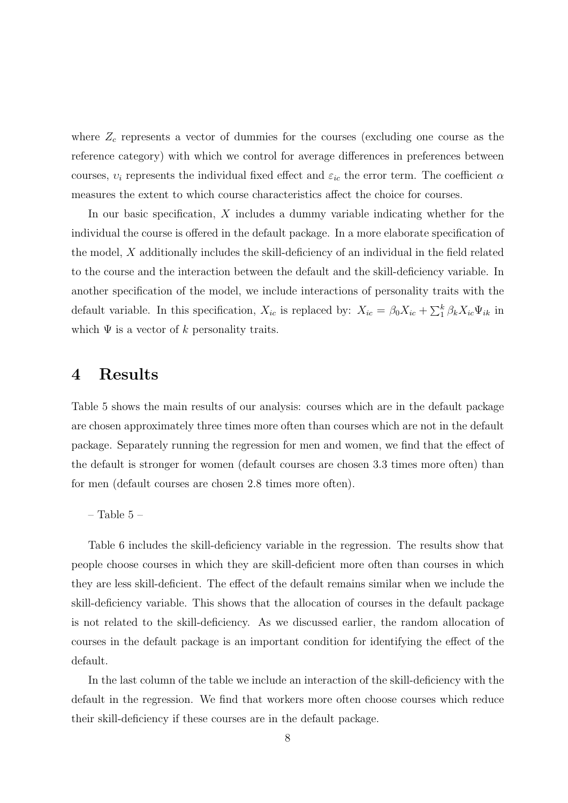where  $Z_c$  represents a vector of dummies for the courses (excluding one course as the reference category) with which we control for average differences in preferences between courses,  $v_i$  represents the individual fixed effect and  $\varepsilon_{ic}$  the error term. The coefficient  $\alpha$ measures the extent to which course characteristics affect the choice for courses.

In our basic specification, X includes a dummy variable indicating whether for the individual the course is offered in the default package. In a more elaborate specification of the model, X additionally includes the skill-deficiency of an individual in the field related to the course and the interaction between the default and the skill-deficiency variable. In another specification of the model, we include interactions of personality traits with the default variable. In this specification,  $X_{ic}$  is replaced by:  $X_{ic} = \beta_0 X_{ic} + \sum_{i=1}^{k} \beta_k X_{ic} \Psi_{ik}$  in which  $\Psi$  is a vector of k personality traits.

# 4 Results

Table 5 shows the main results of our analysis: courses which are in the default package are chosen approximately three times more often than courses which are not in the default package. Separately running the regression for men and women, we find that the effect of the default is stronger for women (default courses are chosen 3.3 times more often) than for men (default courses are chosen 2.8 times more often).

– Table  $5$  –  $\,$ 

Table 6 includes the skill-deficiency variable in the regression. The results show that people choose courses in which they are skill-deficient more often than courses in which they are less skill-deficient. The effect of the default remains similar when we include the skill-deficiency variable. This shows that the allocation of courses in the default package is not related to the skill-deficiency. As we discussed earlier, the random allocation of courses in the default package is an important condition for identifying the effect of the default.

In the last column of the table we include an interaction of the skill-deficiency with the default in the regression. We find that workers more often choose courses which reduce their skill-deficiency if these courses are in the default package.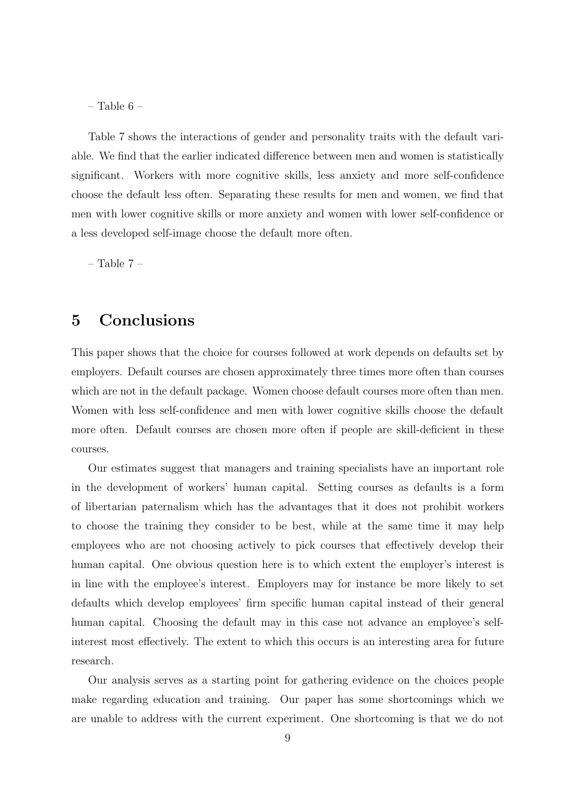– Table 6 –

Table 7 shows the interactions of gender and personality traits with the default variable. We find that the earlier indicated difference between men and women is statistically significant. Workers with more cognitive skills, less anxiety and more self-confidence choose the default less often. Separating these results for men and women, we find that men with lower cognitive skills or more anxiety and women with lower self-confidence or a less developed self-image choose the default more often.

– Table 7 –

## 5 Conclusions

This paper shows that the choice for courses followed at work depends on defaults set by employers. Default courses are chosen approximately three times more often than courses which are not in the default package. Women choose default courses more often than men. Women with less self-confidence and men with lower cognitive skills choose the default more often. Default courses are chosen more often if people are skill-deficient in these courses.

Our estimates suggest that managers and training specialists have an important role in the development of workers' human capital. Setting courses as defaults is a form of libertarian paternalism which has the advantages that it does not prohibit workers to choose the training they consider to be best, while at the same time it may help employees who are not choosing actively to pick courses that effectively develop their human capital. One obvious question here is to which extent the employer's interest is in line with the employee's interest. Employers may for instance be more likely to set defaults which develop employees' firm specific human capital instead of their general human capital. Choosing the default may in this case not advance an employee's selfinterest most effectively. The extent to which this occurs is an interesting area for future research.

Our analysis serves as a starting point for gathering evidence on the choices people make regarding education and training. Our paper has some shortcomings which we are unable to address with the current experiment. One shortcoming is that we do not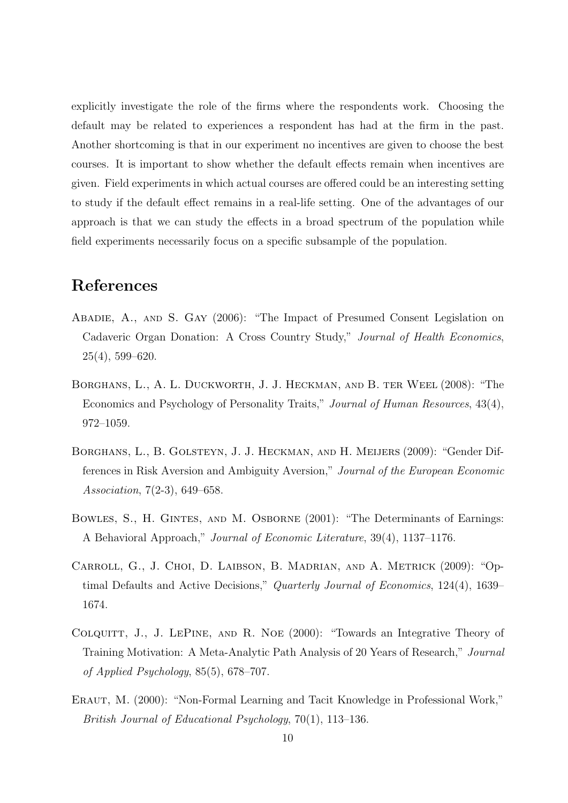explicitly investigate the role of the firms where the respondents work. Choosing the default may be related to experiences a respondent has had at the firm in the past. Another shortcoming is that in our experiment no incentives are given to choose the best courses. It is important to show whether the default effects remain when incentives are given. Field experiments in which actual courses are offered could be an interesting setting to study if the default effect remains in a real-life setting. One of the advantages of our approach is that we can study the effects in a broad spectrum of the population while field experiments necessarily focus on a specific subsample of the population.

# References

- Abadie, A., and S. Gay (2006): "The Impact of Presumed Consent Legislation on Cadaveric Organ Donation: A Cross Country Study," Journal of Health Economics, 25(4), 599–620.
- Borghans, L., A. L. Duckworth, J. J. Heckman, and B. ter Weel (2008): "The Economics and Psychology of Personality Traits," Journal of Human Resources, 43(4), 972–1059.
- Borghans, L., B. Golsteyn, J. J. Heckman, and H. Meijers (2009): "Gender Differences in Risk Aversion and Ambiguity Aversion," Journal of the European Economic Association, 7(2-3), 649–658.
- BOWLES, S., H. GINTES, AND M. OSBORNE (2001): "The Determinants of Earnings: A Behavioral Approach," Journal of Economic Literature, 39(4), 1137–1176.
- Carroll, G., J. Choi, D. Laibson, B. Madrian, and A. Metrick (2009): "Optimal Defaults and Active Decisions," Quarterly Journal of Economics, 124(4), 1639– 1674.
- COLQUITT, J., J. LEPINE, AND R. NOE (2000): "Towards an Integrative Theory of Training Motivation: A Meta-Analytic Path Analysis of 20 Years of Research," Journal of Applied Psychology, 85(5), 678–707.
- ERAUT, M. (2000): "Non-Formal Learning and Tacit Knowledge in Professional Work," British Journal of Educational Psychology, 70(1), 113–136.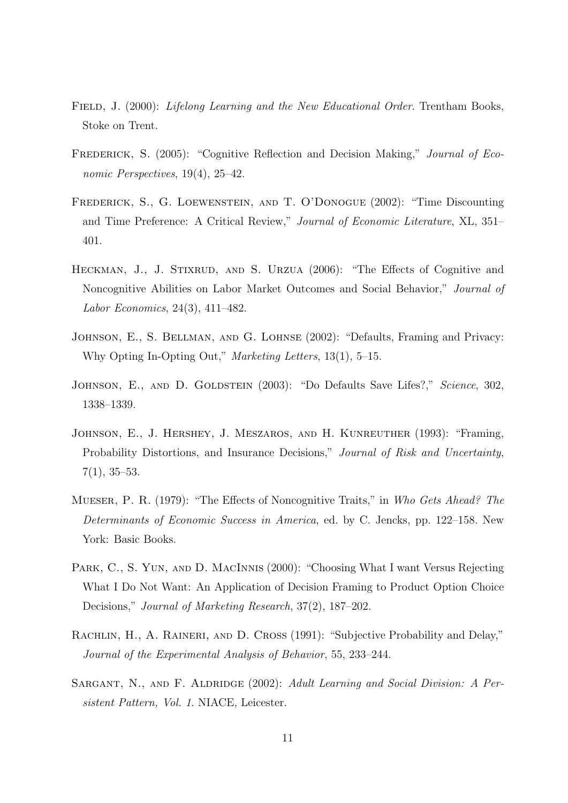- FIELD, J. (2000): *Lifelong Learning and the New Educational Order*. Trentham Books, Stoke on Trent.
- FREDERICK, S. (2005): "Cognitive Reflection and Decision Making," *Journal of Eco*nomic Perspectives, 19(4), 25–42.
- Frederick, S., G. Loewenstein, and T. O'Donogue (2002): "Time Discounting and Time Preference: A Critical Review," Journal of Economic Literature, XL, 351– 401.
- HECKMAN, J., J. STIXRUD, AND S. URZUA (2006): "The Effects of Cognitive and Noncognitive Abilities on Labor Market Outcomes and Social Behavior," Journal of Labor Economics, 24(3), 411–482.
- Johnson, E., S. Bellman, and G. Lohnse (2002): "Defaults, Framing and Privacy: Why Opting In-Opting Out," Marketing Letters, 13(1), 5–15.
- JOHNSON, E., AND D. GOLDSTEIN (2003): "Do Defaults Save Lifes?," Science, 302, 1338–1339.
- Johnson, E., J. Hershey, J. Meszaros, and H. Kunreuther (1993): "Framing, Probability Distortions, and Insurance Decisions," Journal of Risk and Uncertainty,  $7(1), 35-53.$
- Mueser, P. R. (1979): "The Effects of Noncognitive Traits," in Who Gets Ahead? The Determinants of Economic Success in America, ed. by C. Jencks, pp. 122–158. New York: Basic Books.
- PARK, C., S. YUN, AND D. MACINNIS (2000): "Choosing What I want Versus Rejecting What I Do Not Want: An Application of Decision Framing to Product Option Choice Decisions," Journal of Marketing Research, 37(2), 187–202.
- RACHLIN, H., A. RAINERI, AND D. CROSS (1991): "Subjective Probability and Delay," Journal of the Experimental Analysis of Behavior, 55, 233–244.
- SARGANT, N., AND F. ALDRIDGE (2002): Adult Learning and Social Division: A Persistent Pattern, Vol. 1. NIACE, Leicester.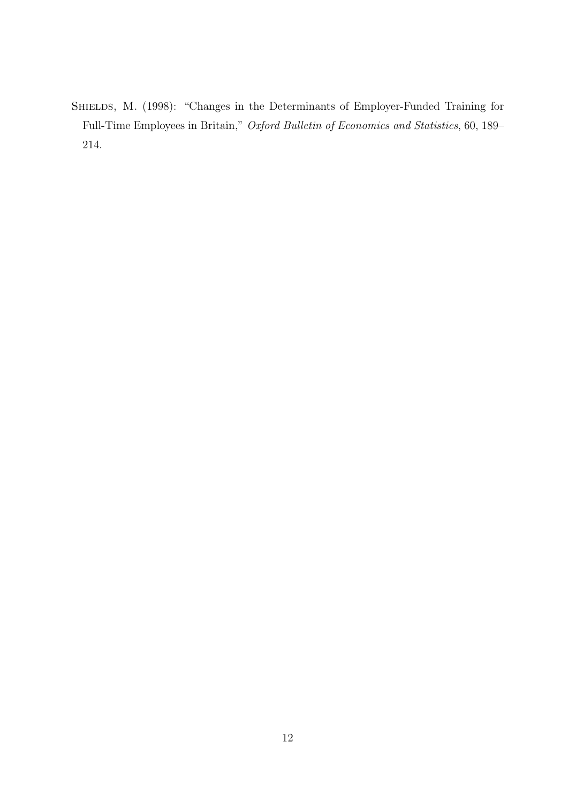SHIELDS, M. (1998): "Changes in the Determinants of Employer-Funded Training for Full-Time Employees in Britain," Oxford Bulletin of Economics and Statistics, 60, 189– 214.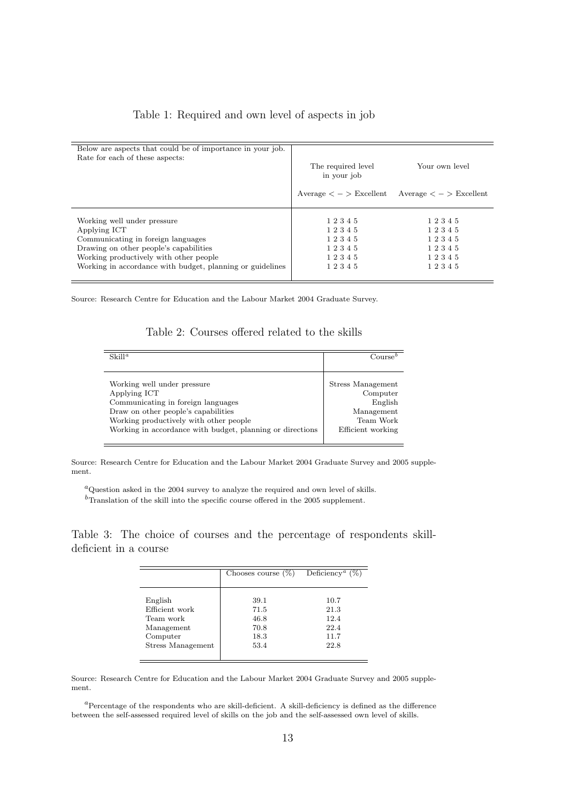#### Table 1: Required and own level of aspects in job

| Below are aspects that could be of importance in your job.<br>Rate for each of these aspects: | The required level<br>in your job | Your own level<br>$Average < - > E$ xcellent $Average < - > E$ xcellent |
|-----------------------------------------------------------------------------------------------|-----------------------------------|-------------------------------------------------------------------------|
|                                                                                               |                                   |                                                                         |
|                                                                                               |                                   |                                                                         |
| Working well under pressure                                                                   | 12345                             | 12345                                                                   |
| Applying ICT                                                                                  | 12345                             | 12345                                                                   |
| Communicating in foreign languages                                                            | 12345                             | 12345                                                                   |
| Drawing on other people's capabilities                                                        | 12345                             | 12345                                                                   |
| Working productively with other people                                                        | 12345                             | 12345                                                                   |
| Working in accordance with budget, planning or guidelines                                     | 12345                             | 12345                                                                   |

Source: Research Centre for Education and the Labour Market 2004 Graduate Survey.

#### Table 2: Courses offered related to the skills

| $\frac{S}{i}$                                                                                                                                                                                                                   | Course                                                                                   |
|---------------------------------------------------------------------------------------------------------------------------------------------------------------------------------------------------------------------------------|------------------------------------------------------------------------------------------|
|                                                                                                                                                                                                                                 |                                                                                          |
| Working well under pressure<br>Applying ICT<br>Communicating in foreign languages<br>Draw on other people's capabilities<br>Working productively with other people<br>Working in accordance with budget, planning or directions | Stress Management<br>Computer<br>English<br>Management<br>Team Work<br>Efficient working |

Source: Research Centre for Education and the Labour Market 2004 Graduate Survey and 2005 supplement.

 ${}^a$ Question asked in the 2004 survey to analyze the required and own level of skills.

 $\rm ^{b}Translation$  of the skill into the specific course offered in the 2005 supplement.

Table 3: The choice of courses and the percentage of respondents skilldeficient in a course

|                   | Chooses course $(\%)$ | Deficiency <sup><i>a</i></sup> $(\%)$ |  |  |
|-------------------|-----------------------|---------------------------------------|--|--|
|                   |                       |                                       |  |  |
| English           | 39.1                  | 10.7                                  |  |  |
| Efficient work    | 71.5                  | 21.3                                  |  |  |
| Team work         | 46.8                  | 12.4                                  |  |  |
| Management        | 70.8                  | 22.4                                  |  |  |
| Computer          | 18.3                  | 11.7                                  |  |  |
| Stress Management | 53.4                  | 22.8                                  |  |  |
|                   |                       |                                       |  |  |

Source: Research Centre for Education and the Labour Market 2004 Graduate Survey and 2005 supplement.

<sup>a</sup>Percentage of the respondents who are skill-deficient. A skill-deficiency is defined as the difference between the self-assessed required level of skills on the job and the self-assessed own level of skills.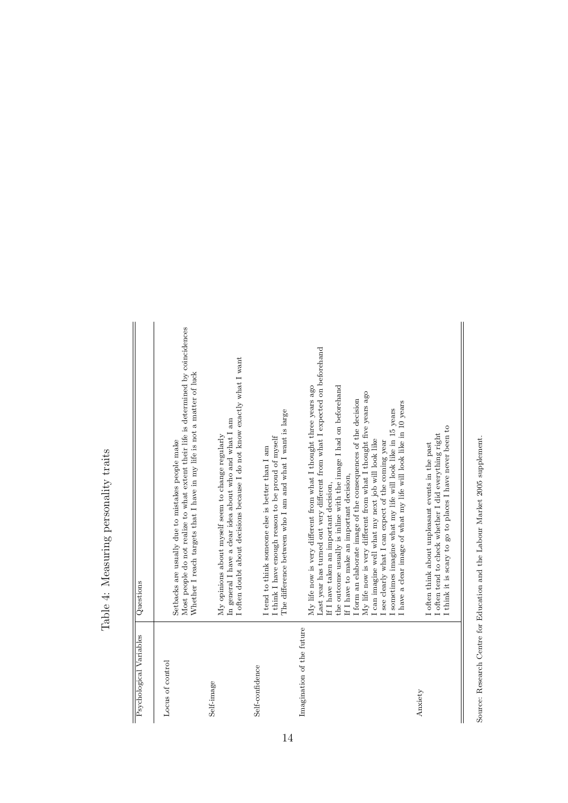# Table 4: Measuring personality traits Table 4: Measuring personality traits

| Psychological Variables   | Questions                                                                                                                                                                                                                                                                                                                                                                                                                                                                                                                                                                                                               |
|---------------------------|-------------------------------------------------------------------------------------------------------------------------------------------------------------------------------------------------------------------------------------------------------------------------------------------------------------------------------------------------------------------------------------------------------------------------------------------------------------------------------------------------------------------------------------------------------------------------------------------------------------------------|
| Locus of control          | Most people do not realize to what extent their life is determined by coincidences<br>Whether I reach targets that I have in my life is not a matter of luck<br>Setbacks are usually due to mistakes people make                                                                                                                                                                                                                                                                                                                                                                                                        |
| Self-image                | I often doubt about decisions because I do not know exactly what I want<br>In general I have a clear idea about who and what I am<br>My opinions about myself seem to change regularly                                                                                                                                                                                                                                                                                                                                                                                                                                  |
| Self-confidence           | The difference between who I am and what I want is large<br>I think I have enough reason to be proud of myself<br>I tend to think someone else is better than I am                                                                                                                                                                                                                                                                                                                                                                                                                                                      |
| Imagination of the future | Last year has turned out very different from what I expected on beforehand<br>My life now is very different from what I thought three years ago<br>the outcome usually is inline with the image I had on beforehand<br>My life now is very different from what I thought five years ago<br>I form an elaborate image of the consequences of the decision<br>sometimes imagine what my life will look like in 15 years<br>I can imagine well what my next job will look like<br>I see clearly what I can expect of the coming year<br>If I have to make an important decision,<br>If I have taken an important decision, |
| Anxiety                   | I have a clear image of what my life will look like in 10 years<br>I think it is scary to go to places I have never been to<br>I often tend to check whether I did everything right<br>I often think about unpleasant events in the past                                                                                                                                                                                                                                                                                                                                                                                |
|                           |                                                                                                                                                                                                                                                                                                                                                                                                                                                                                                                                                                                                                         |

Source: Research Centre for Education and the Labour Market 2005 supplement. Source: Research Centre for Education and the Labour Market 2005 supplement.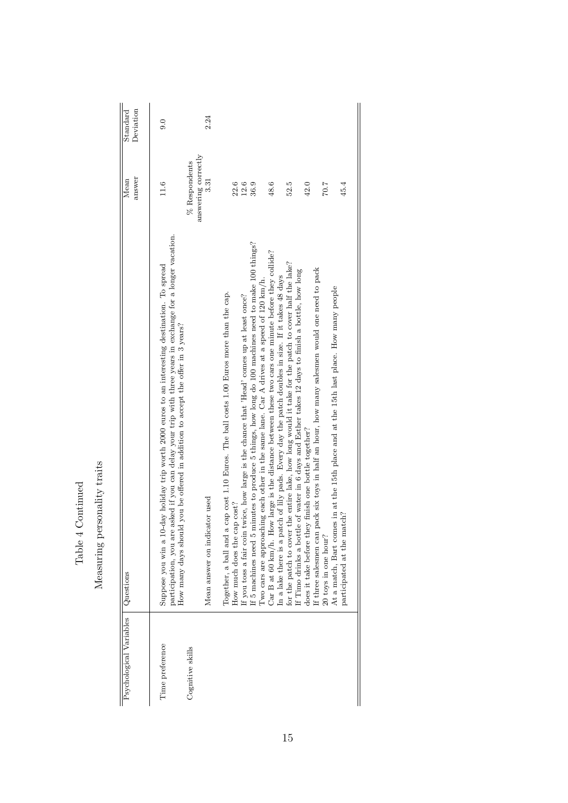| Deviation<br>Standard   | 0.0                                                                                                                                                                                                                                                                                               | 2.24                               |                                                                                                                         |                                                                                            |                                                                                                                                                                                                          |                                                                                                                                                                                                         |                                                                                                                                                                                                              |                                                                                                                                                          |                      |                                                                                                                       |
|-------------------------|---------------------------------------------------------------------------------------------------------------------------------------------------------------------------------------------------------------------------------------------------------------------------------------------------|------------------------------------|-------------------------------------------------------------------------------------------------------------------------|--------------------------------------------------------------------------------------------|----------------------------------------------------------------------------------------------------------------------------------------------------------------------------------------------------------|---------------------------------------------------------------------------------------------------------------------------------------------------------------------------------------------------------|--------------------------------------------------------------------------------------------------------------------------------------------------------------------------------------------------------------|----------------------------------------------------------------------------------------------------------------------------------------------------------|----------------------|-----------------------------------------------------------------------------------------------------------------------|
| answer<br>Mean          | % Respondents<br>11.6                                                                                                                                                                                                                                                                             | answering correctly<br>3.31        | 22.6                                                                                                                    | $12.6\,$                                                                                   | 36.9                                                                                                                                                                                                     | 48.6                                                                                                                                                                                                    | 52.5                                                                                                                                                                                                         | 42.0                                                                                                                                                     | 7.07                 | 45.4                                                                                                                  |
| Questions               | participation, you are asked if you can delay your trip with three years in exchange for a longer vacation.<br>Suppose you win a 10-day holiday trip worth 2000 euros to an interesting destination. To spread<br>How many days should you be offered in addition to accept the offer in 3 years? | cator used<br>Mean answer on indic | Together, a ball and a cap cost 1.10 Euros. The ball costs 1.00 Euros more than the cap.<br>How much does the cap cost? | If you toss a fair coin twice, how large is the chance that 'Head' comes up at least once? | minutes to produce 5 things, how long do 100 machines need to make 100 things?<br>Two cars are approaching each other in the same lane. Car A drives at a speed of 120 km/h.<br>If $5$ machines need $5$ | Car B at 60 km/h. How large is the distance between these two cars one minute before they collide?<br>In a lake there is a patch of lily pads. Every day the patch doubles in size. If it takes 48 days | for the patch to cover the entire lake, how long would it take for the patch to cover half the lake?<br>le of water in 6 days and Esther takes 12 days to finish a bottle, how long<br>If Timo drinks a bott | pack six toys in half an hour, how many salesmen would one need to pack<br>does it take before they finish one bottle together?<br>If three salesmen can | 20 toys in one hour? | At a match, Bart comes in at the 15th place and at the 15th last place. How many people<br>participated at the match? |
| Psychological Variables | Time preference<br>Cognitive skills                                                                                                                                                                                                                                                               |                                    |                                                                                                                         |                                                                                            |                                                                                                                                                                                                          |                                                                                                                                                                                                         |                                                                                                                                                                                                              |                                                                                                                                                          |                      |                                                                                                                       |

Table 4 Continued Table 4 Continued Measuring personality traits

Measuring personality traits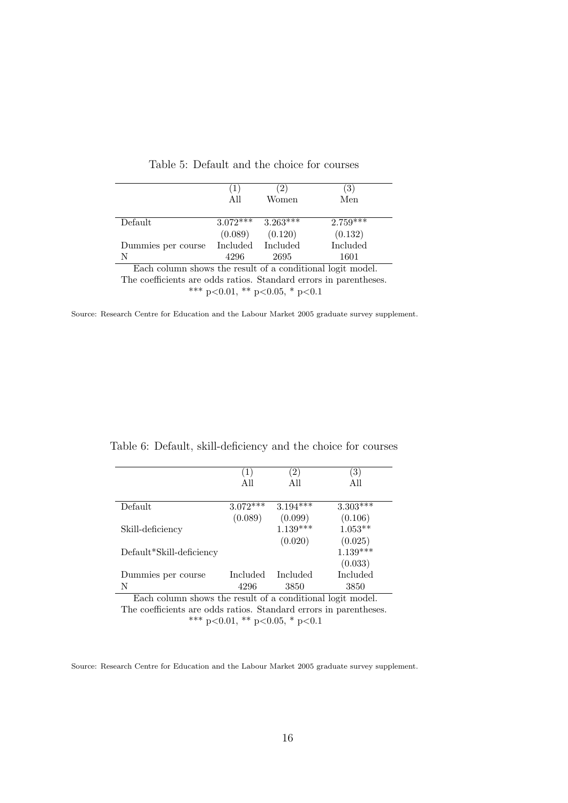|                                                            | (1)<br>All        | 2)<br>Women | $\left( 3\right)$<br>Men |  |  |
|------------------------------------------------------------|-------------------|-------------|--------------------------|--|--|
| Default                                                    | $3.072***$        | $3.263***$  | $2.759***$               |  |  |
|                                                            | (0.089)           | (0.120)     | (0.132)                  |  |  |
| Dummies per course                                         | Included Included |             | Included                 |  |  |
| N                                                          | 4296              | 2695        | 1601                     |  |  |
| Each column shows the result of a conditional logit model. |                   |             |                          |  |  |

Each column shows the result of a conditional logit model.

The coefficients are odds ratios. Standard errors in parentheses.

\*\*\* p<0.01, \*\* p<0.05, \* p<0.1

Source: Research Centre for Education and the Labour Market 2005 graduate survey supplement.

|                          | $\left(1\right)$<br>All | $\left( 2\right)$<br>All | (3)<br>All           |
|--------------------------|-------------------------|--------------------------|----------------------|
| Default                  | $3.072***$              | $3.194***$               | $3.303***$           |
|                          | (0.089)                 | (0.099)                  | (0.106)              |
| Skill-deficiency         |                         | $1.139***$<br>(0.020)    | $1.053**$<br>(0.025) |
| Default*Skill-deficiency |                         |                          | $1.139***$           |
|                          |                         |                          | (0.033)              |
| Dummies per course       | Included                | Included                 | Included             |

Table 6: Default, skill-deficiency and the choice for courses

Each column shows the result of a conditional logit model. The coefficients are odds ratios. Standard errors in parentheses. \*\*\* p<0.01, \*\* p<0.05, \* p<0.1

N 4296 3850 3850

Source: Research Centre for Education and the Labour Market 2005 graduate survey supplement.